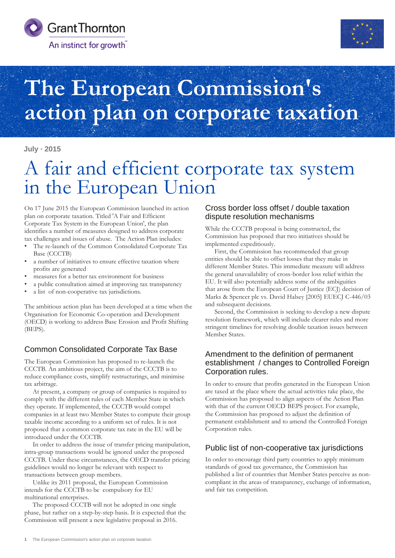



# **The European Commission's action plan on corporate taxation**

#### **July 2015**

## A fair and efficient corporate tax system in the European Union

On 17 June 2015 the European Commission launched its action plan on corporate taxation. Titled 'A Fair and Efficient Corporate Tax System in the European Union', the plan identifies a number of measures designed to address corporate tax challenges and issues of abuse. The Action Plan includes:

- The re-launch of the Common Consolidated Corporate Tax Base (CCCTB)
- a number of initiatives to ensure effective taxation where profits are generated
- measures for a better tax environment for business
- a public consultation aimed at improving tax transparency
- a list of non-cooperative tax jurisdictions.

The ambitious action plan has been developed at a time when the Organisation for Economic Co-operation and Development (OECD) is working to address Base Erosion and Profit Shifting (BEPS).

### Common Consolidated Corporate Tax Base

The European Commission has proposed to re-launch the CCCTB. An ambitious project, the aim of the CCCTB is to reduce compliance costs, simplify restructurings, and minimise tax arbitrage.

 At present, a company or group of companies is required to comply with the different rules of each Member State in which they operate. If implemented, the CCCTB would compel companies in at least two Member States to compute their group taxable income according to a uniform set of rules. It is not proposed that a common corporate tax rate in the EU will be introduced under the CCCTB.

 In order to address the issue of transfer pricing manipulation, intra-group transactions would be ignored under the proposed CCCTB. Under these circumstances, the OECD transfer pricing guidelines would no longer be relevant with respect to transactions between group members.

 Unlike its 2011 proposal, the European Commission intends for the CCCTB to be compulsory for EU multinational enterprises.

 The proposed CCCTB will not be adopted in one single phase, but rather on a step-by-step basis. It is expected that the Commission will present a new legislative proposal in 2016.

#### Cross border loss offset / double taxation dispute resolution mechanisms

While the CCCTB proposal is being constructed, the Commission has proposed that two initiatives should be implemented expeditiously.

First, the Commission has recommended that group entities should be able to offset losses that they make in different Member States. This immediate measure will address the general unavailability of cross-border loss relief within the EU. It will also potentially address some of the ambiguities that arose from the European Court of Justice (ECJ) decision of Marks & Spencer plc vs. David Halsey [2005] EUECJ C-446/03 and subsequent decisions.

Second, the Commission is seeking to develop a new dispute resolution framework, which will include clearer rules and more stringent timelines for resolving double taxation issues between Member States.

#### Amendment to the definition of permanent establishment / changes to Controlled Foreign Corporation rules.

In order to ensure that profits generated in the European Union are taxed at the place where the actual activities take place, the Commission has proposed to align aspects of the Action Plan with that of the current OECD BEPS project. For example, the Commission has proposed to adjust the definition of permanent establishment and to amend the Controlled Foreign Corporation rules.

### Public list of non-cooperative tax jurisdictions

In order to encourage third party countries to apply minimum standards of good tax governance, the Commission has published a list of countries that Member States perceive as noncompliant in the areas of transparency, exchange of information, and fair tax competition.